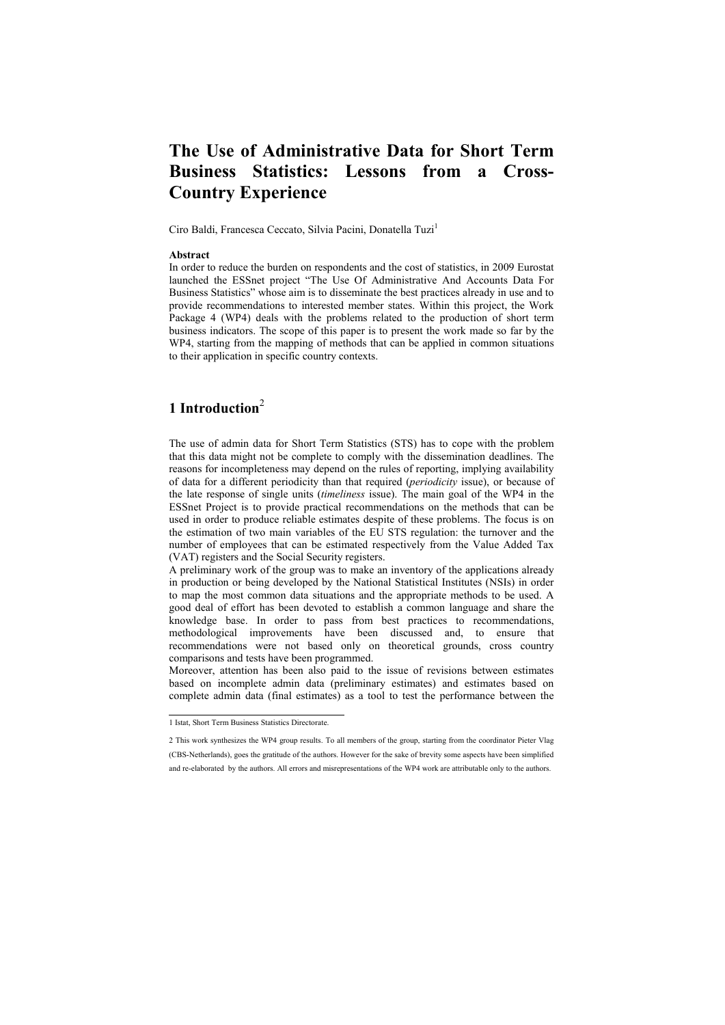# **The Use of Administrative Data for Short Term Business Statistics: Lessons from a Cross-Country Experience**

Ciro Baldi, Francesca Ceccato, Silvia Pacini, Donatella Tuzi<sup>1</sup>

#### **Abstract**

In order to reduce the burden on respondents and the cost of statistics, in 2009 Eurostat launched the ESSnet project "The Use Of Administrative And Accounts Data For Business Statistics" whose aim is to disseminate the best practices already in use and to provide recommendations to interested member states. Within this project, the Work Package 4 (WP4) deals with the problems related to the production of short term business indicators. The scope of this paper is to present the work made so far by the WP4, starting from the mapping of methods that can be applied in common situations to their application in specific country contexts.

# **1 Introduction**<sup>2</sup>

The use of admin data for Short Term Statistics (STS) has to cope with the problem that this data might not be complete to comply with the dissemination deadlines. The reasons for incompleteness may depend on the rules of reporting, implying availability of data for a different periodicity than that required (*periodicity* issue), or because of the late response of single units (*timeliness* issue). The main goal of the WP4 in the ESSnet Project is to provide practical recommendations on the methods that can be used in order to produce reliable estimates despite of these problems. The focus is on the estimation of two main variables of the EU STS regulation: the turnover and the number of employees that can be estimated respectively from the Value Added Tax (VAT) registers and the Social Security registers.

A preliminary work of the group was to make an inventory of the applications already in production or being developed by the National Statistical Institutes (NSIs) in order to map the most common data situations and the appropriate methods to be used. A good deal of effort has been devoted to establish a common language and share the knowledge base. In order to pass from best practices to recommendations, methodological improvements have been discussed and, to ensure that recommendations were not based only on theoretical grounds, cross country comparisons and tests have been programmed.

Moreover, attention has been also paid to the issue of revisions between estimates based on incomplete admin data (preliminary estimates) and estimates based on complete admin data (final estimates) as a tool to test the performance between the

 1 Istat, Short Term Business Statistics Directorate.

<sup>2</sup> This work synthesizes the WP4 group results. To all members of the group, starting from the coordinator Pieter Vlag (CBS-Netherlands), goes the gratitude of the authors. However for the sake of brevity some aspects have been simplified and re-elaborated by the authors. All errors and misrepresentations of the WP4 work are attributable only to the authors.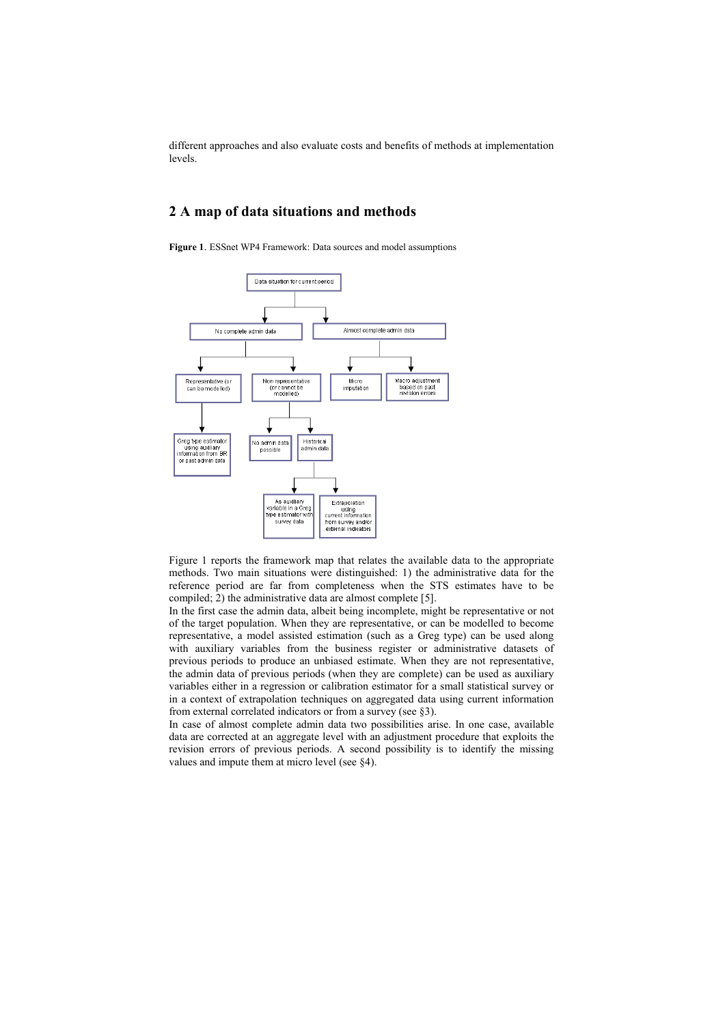different approaches and also evaluate costs and benefits of methods at implementation levels.

## **2 A map of data situations and methods**

**Figure 1**. ESSnet WP4 Framework: Data sources and model assumptions



Figure 1 reports the framework map that relates the available data to the appropriate methods. Two main situations were distinguished: 1) the administrative data for the reference period are far from completeness when the STS estimates have to be compiled; 2) the administrative data are almost complete [5].

In the first case the admin data, albeit being incomplete, might be representative or not of the target population. When they are representative, or can be modelled to become representative, a model assisted estimation (such as a Greg type) can be used along with auxiliary variables from the business register or administrative datasets of previous periods to produce an unbiased estimate. When they are not representative, the admin data of previous periods (when they are complete) can be used as auxiliary variables either in a regression or calibration estimator for a small statistical survey or in a context of extrapolation techniques on aggregated data using current information from external correlated indicators or from a survey (see §3).

In case of almost complete admin data two possibilities arise. In one case, available data are corrected at an aggregate level with an adjustment procedure that exploits the revision errors of previous periods. A second possibility is to identify the missing values and impute them at micro level (see §4).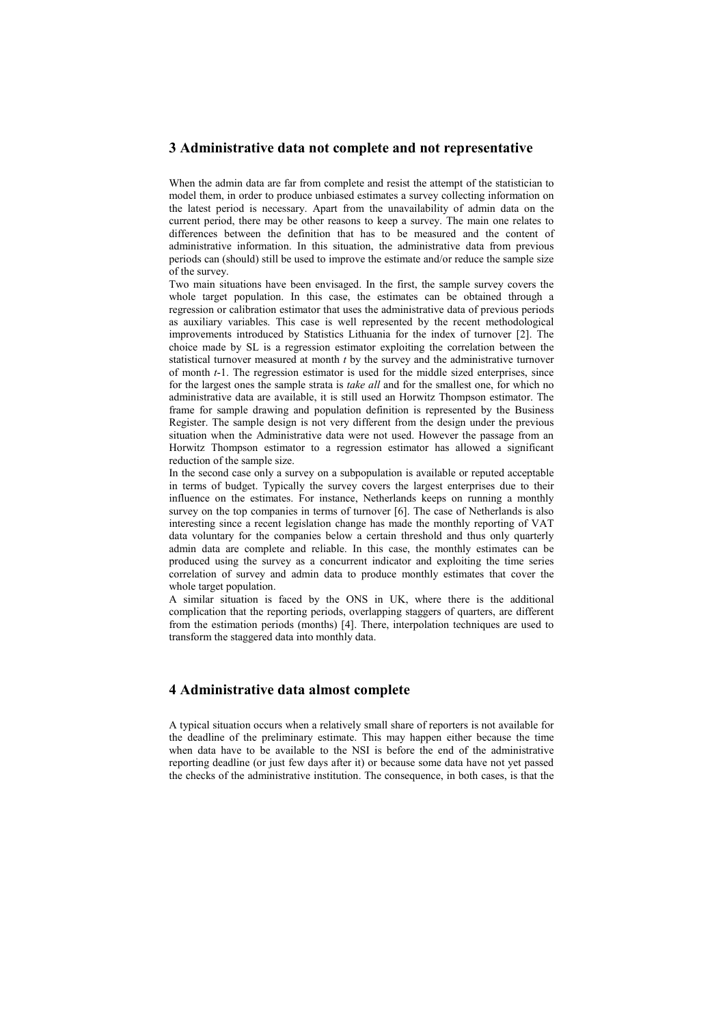### **3 Administrative data not complete and not representative**

When the admin data are far from complete and resist the attempt of the statistician to model them, in order to produce unbiased estimates a survey collecting information on the latest period is necessary. Apart from the unavailability of admin data on the current period, there may be other reasons to keep a survey. The main one relates to differences between the definition that has to be measured and the content of administrative information. In this situation, the administrative data from previous periods can (should) still be used to improve the estimate and/or reduce the sample size of the survey.

Two main situations have been envisaged. In the first, the sample survey covers the whole target population. In this case, the estimates can be obtained through a regression or calibration estimator that uses the administrative data of previous periods as auxiliary variables. This case is well represented by the recent methodological improvements introduced by Statistics Lithuania for the index of turnover [2]. The choice made by SL is a regression estimator exploiting the correlation between the statistical turnover measured at month *t* by the survey and the administrative turnover of month *t*-1. The regression estimator is used for the middle sized enterprises, since for the largest ones the sample strata is *take all* and for the smallest one, for which no administrative data are available, it is still used an Horwitz Thompson estimator. The frame for sample drawing and population definition is represented by the Business Register. The sample design is not very different from the design under the previous situation when the Administrative data were not used. However the passage from an Horwitz Thompson estimator to a regression estimator has allowed a significant reduction of the sample size.

In the second case only a survey on a subpopulation is available or reputed acceptable in terms of budget. Typically the survey covers the largest enterprises due to their influence on the estimates. For instance, Netherlands keeps on running a monthly survey on the top companies in terms of turnover [6]. The case of Netherlands is also interesting since a recent legislation change has made the monthly reporting of VAT data voluntary for the companies below a certain threshold and thus only quarterly admin data are complete and reliable. In this case, the monthly estimates can be produced using the survey as a concurrent indicator and exploiting the time series correlation of survey and admin data to produce monthly estimates that cover the whole target population.

A similar situation is faced by the ONS in UK, where there is the additional complication that the reporting periods, overlapping staggers of quarters, are different from the estimation periods (months) [4]. There, interpolation techniques are used to transform the staggered data into monthly data.

## **4 Administrative data almost complete**

A typical situation occurs when a relatively small share of reporters is not available for the deadline of the preliminary estimate. This may happen either because the time when data have to be available to the NSI is before the end of the administrative reporting deadline (or just few days after it) or because some data have not yet passed the checks of the administrative institution. The consequence, in both cases, is that the